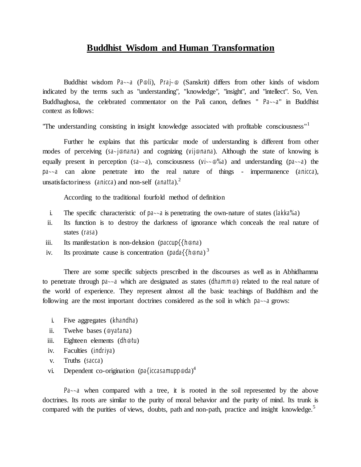## **Buddhist Wisdom and Human Transformation**

Buddhist wisdom Pa~~a (P@li), Praj~@ (Sanskrit) differs from other kinds of wisdom indicated by the terms such as "understanding", ''knowledge", "insight", and "intellect". So, Ven. Buddhaghosa, the celebrated commentator on the Pali canon, defines " Pa~~a" in Buddhist context as follows:

"The understanding consisting in insight knowledge associated with profitable consciousness"<sup>1</sup>

Further he explains that this particular mode of understanding is different from other modes of perceiving (sa~j@nana) and cognizing (vij@nana). Although the state of knowing is equally present in perception (sa $\sim a$ ), consciousness (vi $\sim a$ %a) and understanding (pa $\sim a$ ) the pa~~a can alone penetrate into the real nature of things - impermanence (anicca), unsatisfactoriness (anicca) and non-self (anatta).<sup>2</sup>

According to the traditional fourfold method of definition

- i. The specific characteristic of  $pa \sim a$  is penetrating the own-nature of states ( $lakka\%a$ )
- ii. Its function is to destroy the darkness of ignorance which conceals the real nature of states (rasa)
- iii. Its manifestation is non-delusion (paccup $\{\{\hbar \otimes n\}$ )
- iv. Its proximate cause is concentration (pada $\{\{\text{h} \textcircled{e} \text{na}\}^3\}$

There are some specific subjects prescribed in the discourses as well as in Abhidhamma to penetrate through pa~~a which are designated as states (dhamm@) related to the real nature of the world of experience. They represent almost all the basic teachings of Buddhism and the following are the most important doctrines considered as the soil in which pa~~a grows:

- i. Five aggregates (khandha)
- ii. Twelve bases (@yatana)
- iii. Eighteen elements (dh@tu)
- iv. Faculties (indriya)
- v. Truths (sacca)
- vi. Dependent co-origination (pa{iccasamupp@da)<sup>4</sup>

Pa~~a when compared with a tree, it is rooted in the soil represented by the above doctrines. Its roots are similar to the purity of moral behavior and the purity of mind. Its trunk is compared with the purities of views, doubts, path and non-path, practice and insight knowledge.<sup>5</sup>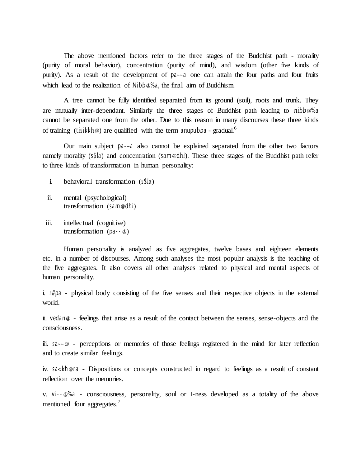The above mentioned factors refer to the three stages of the Buddhist path - morality (purity of moral behavior), concentration (purity of mind), and wisdom (other five kinds of purity). As a result of the development of pa~~a one can attain the four paths and four fruits which lead to the realization of Nibb@%a, the final aim of Buddhism.

A tree cannot be fully identified separated from its ground (soil), roots and trunk. They are mutually inter-dependant. Similarly the three stages of Buddhist path leading to nibb@%a cannot be separated one from the other. Due to this reason in many discourses these three kinds of training (tisikkh@) are qualified with the term anupubba - gradual.<sup>6</sup>

Our main subject pa~~a also cannot be explained separated from the other two factors namely morality (s\$la) and concentration (sam@dhi). These three stages of the Buddhist path refer to three kinds of transformation in human personality:

- i. behavioral transformation (s\$la)
- ii. mental (psychological) transformation (sam@dhi)
- iii. intellectual (cognitive) transformation ( $pa \sim \textcircled{a}$ )

Human personality is analyzed as five aggregates, twelve bases and eighteen elements etc. in a number of discourses. Among such analyses the most popular analysis is the teaching of the five aggregates. It also covers all other analyses related to physical and mental aspects of human personality.

i. r#pa - physical body consisting of the five senses and their respective objects in the external world.

ii. vedan@ - feelings that arise as a result of the contact between the senses, sense-objects and the consciousness.

iii.  $a^2 \sim \omega$  - perceptions or memories of those feelings registered in the mind for later reflection and to create similar feelings.

iv. sa<kh@ra - Dispositions or concepts constructed in regard to feelings as a result of constant reflection over the memories.

v. vi~~@%a - consciousness, personality, soul or I-ness developed as a totality of the above mentioned four aggregates.<sup>7</sup>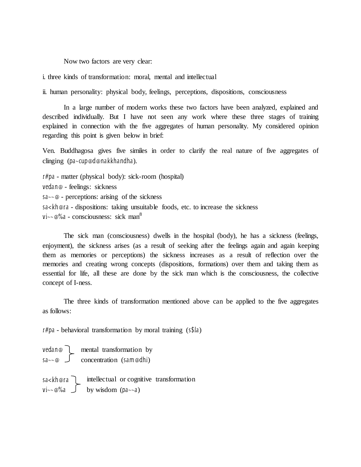Now two factors are very clear:

i. three kinds of transformation: moral, mental and intellectual

ii. human personality: physical body, feelings, perceptions, dispositions, consciousness

In a large number of modern works these two factors have been analyzed, explained and described individually. But I have not seen any work where these three stages of training explained in connection with the five aggregates of human personality. My considered opinion regarding this point is given below in brief:

Ven. Buddhagosa gives five similes in order to clarify the real nature of five aggregates of clinging (pa~cup@d@nakkhandha).

r#pa - matter (physical body): sick-room (hospital) vedan@ - feelings: sickness  $s_{\alpha} \sim \omega$  - perceptions: arising of the sickness sa<kh@ra - dispositions: taking unsuitable foods, etc. to increase the sickness  $\text{Vi}\sim\varphi\%$ a - consciousness: sick man<sup>8</sup>

The sick man (consciousness) dwells in the hospital (body), he has a sickness (feelings, enjoyment), the sickness arises (as a result of seeking after the feelings again and again keeping them as memories or perceptions) the sickness increases as a result of reflection over the memories and creating wrong concepts (dispositions, formations) over them and taking them as essential for life, all these are done by the sick man which is the consciousness, the collective concept of I-ness.

The three kinds of transformation mentioned above can be applied to the five aggregates as follows:

r#pa - behavioral transformation by moral training (s\$la)

vedan@ mental transformation by sa~~@ concentration (sam@dhi) sa<kh@ra intellectual or cognitive transformation vi~~@%a by wisdom (pa~~a)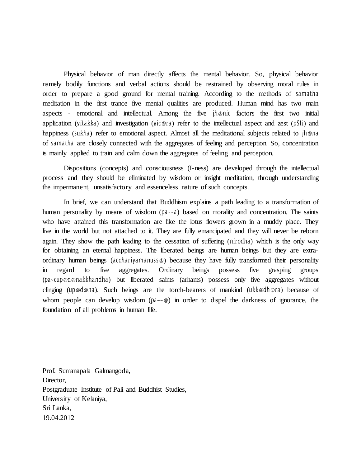Physical behavior of man directly affects the mental behavior. So, physical behavior namely bodily functions and verbal actions should be restrained by observing moral rules in order to prepare a good ground for mental training. According to the methods of samatha meditation in the first trance five mental qualities are produced. Human mind has two main aspects - emotional and intellectual. Among the five jh@nic factors the first two initial application (vitakka) and investigation (vic@ra) refer to the intellectual aspect and zest (p\$ti) and happiness (sukha) refer to emotional aspect. Almost all the meditational subjects related to *jh@na* of samatha are closely connected with the aggregates of feeling and perception. So, concentration is mainly applied to train and calm down the aggregates of feeling and perception.

Dispositions (concepts) and consciousness (I-ness) are developed through the intellectual process and they should be eliminated by wisdom or insight meditation, through understanding the impermanent, unsatisfactory and essenceless nature of such concepts.

In brief, we can understand that Buddhism explains a path leading to a transformation of human personality by means of wisdom  $(\text{Da} \sim a)$  based on morality and concentration. The saints who have attained this transformation are like the lotus flowers grown in a muddy place. They live in the world but not attached to it. They are fully emancipated and they will never be reborn again. They show the path leading to the cessation of suffering (nirodha) which is the only way for obtaining an eternal happiness. The liberated beings are human beings but they are extraordinary human beings (acchariyamanuss@) because they have fully transformed their personality in regard to five aggregates. Ordinary beings possess five grasping groups (pa~cup@d@nakkhandha) but liberated saints (arhants) possess only five aggregates without clinging (up@d@na). Such beings are the torch-bearers of mankind (ukk@dh@ra) because of whom people can develop wisdom ( $pa \sim \omega$ ) in order to dispel the darkness of ignorance, the foundation of all problems in human life.

Prof. Sumanapala Galmangoda, Director, Postgraduate Institute of Pali and Buddhist Studies, University of Kelaniya, Sri Lanka, 19.04.2012